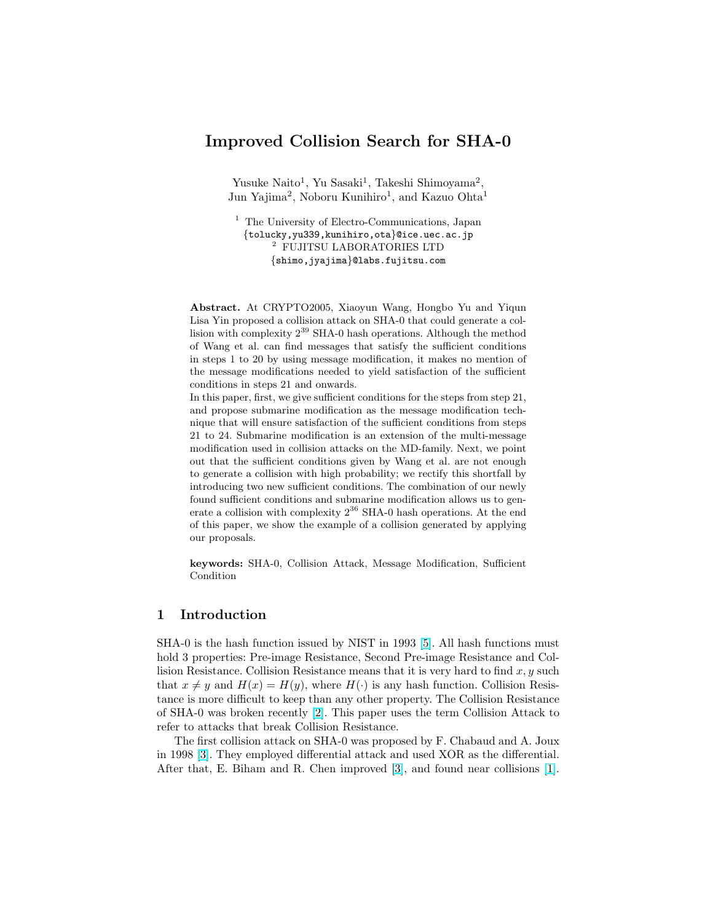# Improved Collision Search for SHA-0

Yusuke Naito<sup>1</sup>, Yu Sasaki<sup>1</sup>, Takeshi Shimoyama<sup>2</sup>, Jun Yajima<sup>2</sup>, Noboru Kunihiro<sup>1</sup>, and Kazuo Ohta<sup>1</sup>

<sup>1</sup> The University of Electro-Communications, Japan {tolucky,yu339,kunihiro,ota}@ice.uec.ac.jp <sup>2</sup> FUJITSU LABORATORIES LTD {shimo,jyajima}@labs.fujitsu.com

Abstract. At CRYPTO2005, Xiaoyun Wang, Hongbo Yu and Yiqun Lisa Yin proposed a collision attack on SHA-0 that could generate a collision with complexity 2<sup>39</sup> SHA-0 hash operations. Although the method of Wang et al. can find messages that satisfy the sufficient conditions in steps 1 to 20 by using message modification, it makes no mention of the message modifications needed to yield satisfaction of the sufficient conditions in steps 21 and onwards.

In this paper, first, we give sufficient conditions for the steps from step 21, and propose submarine modification as the message modification technique that will ensure satisfaction of the sufficient conditions from steps 21 to 24. Submarine modification is an extension of the multi-message modification used in collision attacks on the MD-family. Next, we point out that the sufficient conditions given by Wang et al. are not enough to generate a collision with high probability; we rectify this shortfall by introducing two new sufficient conditions. The combination of our newly found sufficient conditions and submarine modification allows us to generate a collision with complexity  $2^{36}$  SHA-0 hash operations. At the end of this paper, we show the example of a collision generated by applying our proposals.

keywords: SHA-0, Collision Attack, Message Modification, Sufficient Condition

## 1 Introduction

SHA-0 is the hash function issued by NIST in 1993 [\[5\]](#page-14-0). All hash functions must hold 3 properties: Pre-image Resistance, Second Pre-image Resistance and Collision Resistance. Collision Resistance means that it is very hard to find  $x, y$  such that  $x \neq y$  and  $H(x) = H(y)$ , where  $H(\cdot)$  is any hash function. Collision Resistance is more difficult to keep than any other property. The Collision Resistance of SHA-0 was broken recently [\[2\]](#page-14-0). This paper uses the term Collision Attack to refer to attacks that break Collision Resistance.

The first collision attack on SHA-0 was proposed by F. Chabaud and A. Joux in 1998 [\[3\]](#page-14-0). They employed differential attack and used XOR as the differential. After that, E. Biham and R. Chen improved [\[3\]](#page-14-0), and found near collisions [\[1\]](#page-14-0).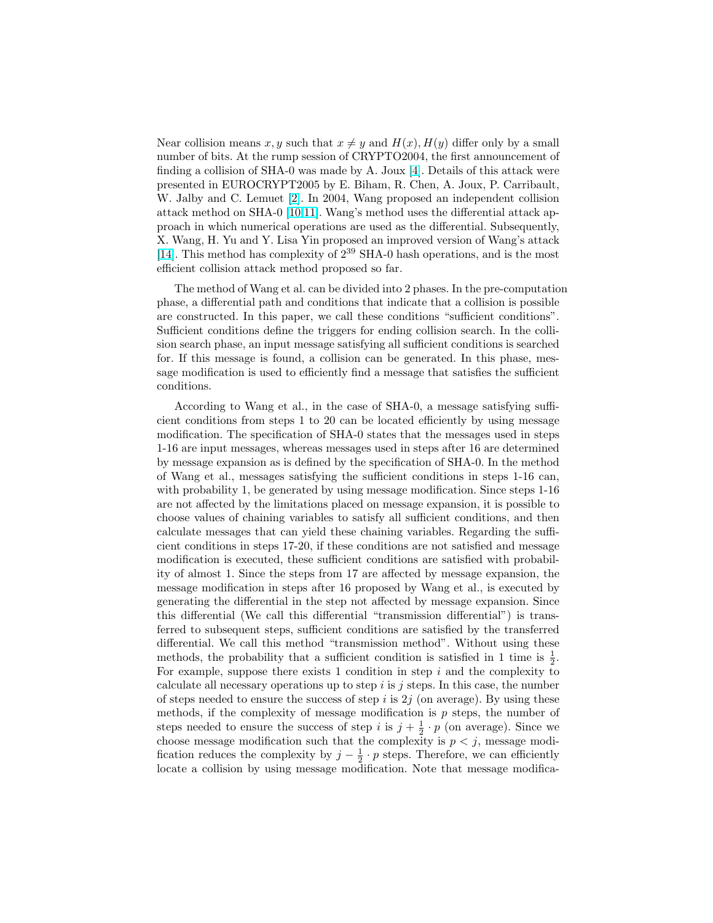Near collision means x, y such that  $x \neq y$  and  $H(x)$ ,  $H(y)$  differ only by a small number of bits. At the rump session of CRYPTO2004, the first announcement of finding a collision of SHA-0 was made by A. Joux [\[4\]](#page-14-0). Details of this attack were presented in EUROCRYPT2005 by E. Biham, R. Chen, A. Joux, P. Carribault, W. Jalby and C. Lemuet [\[2\]](#page-14-0). In 2004, Wang proposed an independent collision attack method on SHA-0 [\[10,11\]](#page-14-0). Wang's method uses the differential attack approach in which numerical operations are used as the differential. Subsequently, X. Wang, H. Yu and Y. Lisa Yin proposed an improved version of Wang's attack [\[14\]](#page-14-0). This method has complexity of  $2^{39}$  SHA-0 hash operations, and is the most efficient collision attack method proposed so far.

The method of Wang et al. can be divided into 2 phases. In the pre-computation phase, a differential path and conditions that indicate that a collision is possible are constructed. In this paper, we call these conditions "sufficient conditions". Sufficient conditions define the triggers for ending collision search. In the collision search phase, an input message satisfying all sufficient conditions is searched for. If this message is found, a collision can be generated. In this phase, message modification is used to efficiently find a message that satisfies the sufficient conditions.

According to Wang et al., in the case of SHA-0, a message satisfying sufficient conditions from steps 1 to 20 can be located efficiently by using message modification. The specification of SHA-0 states that the messages used in steps 1-16 are input messages, whereas messages used in steps after 16 are determined by message expansion as is defined by the specification of SHA-0. In the method of Wang et al., messages satisfying the sufficient conditions in steps 1-16 can, with probability 1, be generated by using message modification. Since steps 1-16 are not affected by the limitations placed on message expansion, it is possible to choose values of chaining variables to satisfy all sufficient conditions, and then calculate messages that can yield these chaining variables. Regarding the sufficient conditions in steps 17-20, if these conditions are not satisfied and message modification is executed, these sufficient conditions are satisfied with probability of almost 1. Since the steps from 17 are affected by message expansion, the message modification in steps after 16 proposed by Wang et al., is executed by generating the differential in the step not affected by message expansion. Since this differential (We call this differential "transmission differential") is transferred to subsequent steps, sufficient conditions are satisfied by the transferred differential. We call this method "transmission method". Without using these methods, the probability that a sufficient condition is satisfied in 1 time is  $\frac{1}{2}$ . For example, suppose there exists 1 condition in step  $i$  and the complexity to calculate all necessary operations up to step  $i$  is  $j$  steps. In this case, the number of steps needed to ensure the success of step i is  $2j$  (on average). By using these methods, if the complexity of message modification is  $p$  steps, the number of steps needed to ensure the success of step i is  $j + \frac{1}{2} \cdot p$  (on average). Since we choose message modification such that the complexity is  $p < j$ , message modification reduces the complexity by  $j - \frac{1}{2} \cdot p$  steps. Therefore, we can efficiently locate a collision by using message modification. Note that message modifica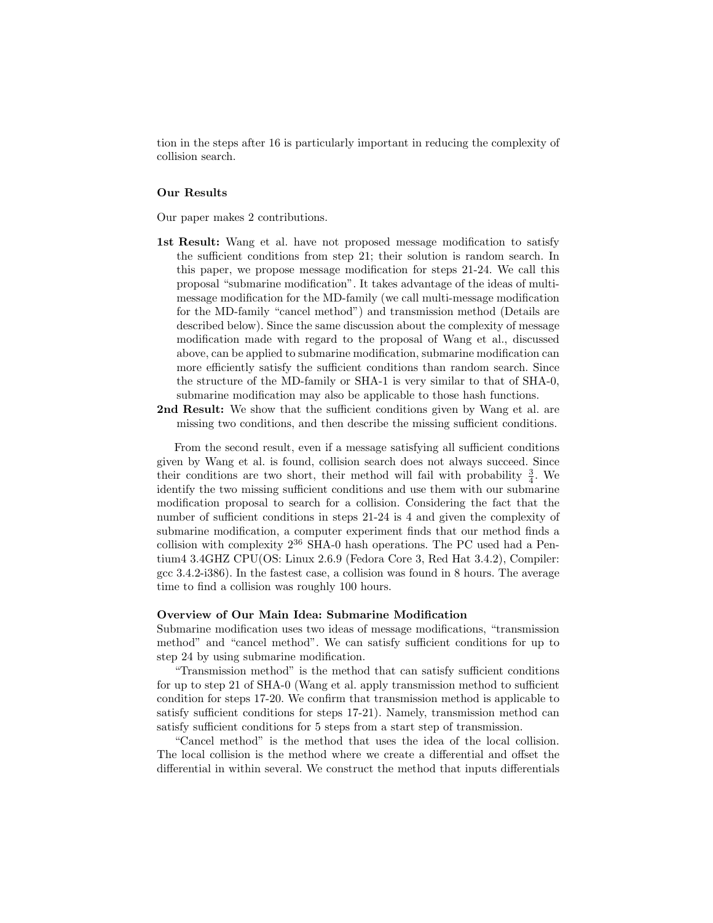tion in the steps after 16 is particularly important in reducing the complexity of collision search.

### Our Results

Our paper makes 2 contributions.

- 1st Result: Wang et al. have not proposed message modification to satisfy the sufficient conditions from step 21; their solution is random search. In this paper, we propose message modification for steps 21-24. We call this proposal "submarine modification". It takes advantage of the ideas of multimessage modification for the MD-family (we call multi-message modification for the MD-family "cancel method") and transmission method (Details are described below). Since the same discussion about the complexity of message modification made with regard to the proposal of Wang et al., discussed above, can be applied to submarine modification, submarine modification can more efficiently satisfy the sufficient conditions than random search. Since the structure of the MD-family or SHA-1 is very similar to that of SHA-0, submarine modification may also be applicable to those hash functions.
- 2nd Result: We show that the sufficient conditions given by Wang et al. are missing two conditions, and then describe the missing sufficient conditions.

From the second result, even if a message satisfying all sufficient conditions given by Wang et al. is found, collision search does not always succeed. Since their conditions are two short, their method will fail with probability  $\frac{3}{4}$ . We identify the two missing sufficient conditions and use them with our submarine modification proposal to search for a collision. Considering the fact that the number of sufficient conditions in steps 21-24 is 4 and given the complexity of submarine modification, a computer experiment finds that our method finds a collision with complexity  $2^{36}$  SHA-0 hash operations. The PC used had a Pentium4 3.4GHZ CPU(OS: Linux 2.6.9 (Fedora Core 3, Red Hat 3.4.2), Compiler: gcc 3.4.2-i386). In the fastest case, a collision was found in 8 hours. The average time to find a collision was roughly 100 hours.

#### Overview of Our Main Idea: Submarine Modification

Submarine modification uses two ideas of message modifications, "transmission method" and "cancel method". We can satisfy sufficient conditions for up to step 24 by using submarine modification.

"Transmission method" is the method that can satisfy sufficient conditions for up to step 21 of SHA-0 (Wang et al. apply transmission method to sufficient condition for steps 17-20. We confirm that transmission method is applicable to satisfy sufficient conditions for steps 17-21). Namely, transmission method can satisfy sufficient conditions for 5 steps from a start step of transmission.

"Cancel method" is the method that uses the idea of the local collision. The local collision is the method where we create a differential and offset the differential in within several. We construct the method that inputs differentials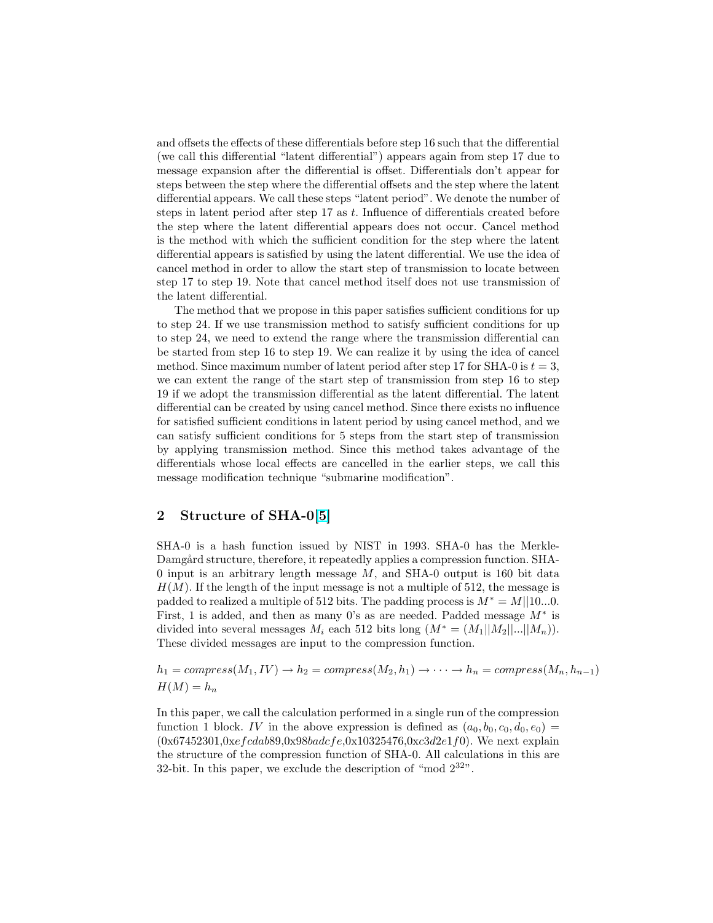and offsets the effects of these differentials before step 16 such that the differential (we call this differential "latent differential") appears again from step 17 due to message expansion after the differential is offset. Differentials don't appear for steps between the step where the differential offsets and the step where the latent differential appears. We call these steps "latent period". We denote the number of steps in latent period after step  $17$  as t. Influence of differentials created before the step where the latent differential appears does not occur. Cancel method is the method with which the sufficient condition for the step where the latent differential appears is satisfied by using the latent differential. We use the idea of cancel method in order to allow the start step of transmission to locate between step 17 to step 19. Note that cancel method itself does not use transmission of the latent differential.

The method that we propose in this paper satisfies sufficient conditions for up to step 24. If we use transmission method to satisfy sufficient conditions for up to step 24, we need to extend the range where the transmission differential can be started from step 16 to step 19. We can realize it by using the idea of cancel method. Since maximum number of latent period after step 17 for SHA-0 is  $t = 3$ , we can extent the range of the start step of transmission from step 16 to step 19 if we adopt the transmission differential as the latent differential. The latent differential can be created by using cancel method. Since there exists no influence for satisfied sufficient conditions in latent period by using cancel method, and we can satisfy sufficient conditions for 5 steps from the start step of transmission by applying transmission method. Since this method takes advantage of the differentials whose local effects are cancelled in the earlier steps, we call this message modification technique "submarine modification".

## 2 Structure of SHA-0[\[5\]](#page-14-0)

SHA-0 is a hash function issued by NIST in 1993. SHA-0 has the Merkle-Damgård structure, therefore, it repeatedly applies a compression function. SHA-0 input is an arbitrary length message  $M$ , and SHA-0 output is 160 bit data  $H(M)$ . If the length of the input message is not a multiple of 512, the message is padded to realized a multiple of 512 bits. The padding process is  $M^* = M||10...0$ . First, 1 is added, and then as many 0's as are needed. Padded message  $M^*$  is divided into several messages  $M_i$  each 512 bits long  $(M^* = (M_1||M_2||...||M_n)).$ These divided messages are input to the compression function.

 $h_1 = compress(M_1, IV) \rightarrow h_2 = compress(M_2, h_1) \rightarrow \cdots \rightarrow h_n = compress(M_n, h_{n-1})$  $H(M) = h_n$ 

In this paper, we call the calculation performed in a single run of the compression function 1 block. IV in the above expression is defined as  $(a_0, b_0, c_0, d_0, e_0)$  $(0x67452301,0xefcdab89,0x98badcfe,0x10325476,0xc3d2e1f0)$ . We next explain the structure of the compression function of SHA-0. All calculations in this are 32-bit. In this paper, we exclude the description of "mod  $2^{32}$ ".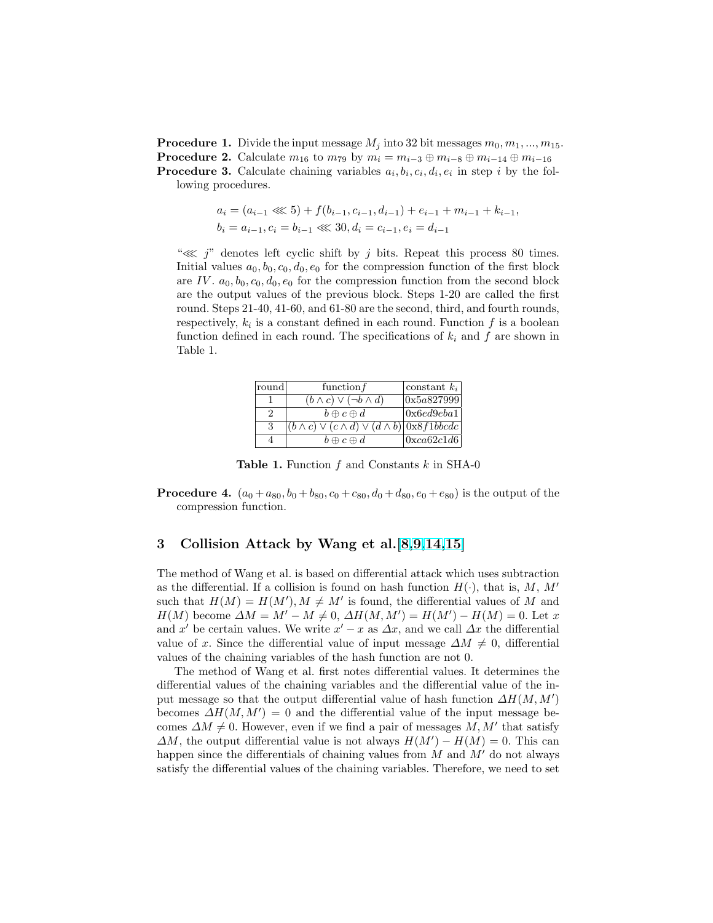**Procedure 1.** Divide the input message  $M_i$  into 32 bit messages  $m_0, m_1, ..., m_{15}$ . **Procedure 2.** Calculate  $m_{16}$  to  $m_{79}$  by  $m_i = m_{i-3} \oplus m_{i-8} \oplus m_{i-14} \oplus m_{i-16}$ **Procedure 3.** Calculate chaining variables  $a_i, b_i, c_i, d_i, e_i$  in step i by the following procedures.

$$
a_i = (a_{i-1} \lll 5) + f(b_{i-1}, c_{i-1}, d_{i-1}) + e_{i-1} + m_{i-1} + k_{i-1},
$$
  
\n
$$
b_i = a_{i-1}, c_i = b_{i-1} \lll 30, d_i = c_{i-1}, e_i = d_{i-1}
$$

" $\lll$  j" denotes left cyclic shift by j bits. Repeat this process 80 times. Initial values  $a_0, b_0, c_0, d_0, e_0$  for the compression function of the first block are IV.  $a_0, b_0, c_0, d_0, e_0$  for the compression function from the second block are the output values of the previous block. Steps 1-20 are called the first round. Steps 21-40, 41-60, and 61-80 are the second, third, and fourth rounds, respectively,  $k_i$  is a constant defined in each round. Function  $f$  is a boolean function defined in each round. The specifications of  $k_i$  and  $f$  are shown in Table 1.

| ∣round∣ | function $f$                                                                     | constant $k_i$  |
|---------|----------------------------------------------------------------------------------|-----------------|
|         | $(b \wedge c) \vee (\neg b \wedge d)$                                            | 0x5a827999      |
|         | $b \oplus c \oplus d$                                                            | 0x6ed9eba1      |
| 3       | $ (b \wedge c) \vee (c \wedge d) \vee (d \wedge b) $ 0x8 <i>f</i> 1 <i>bbcdc</i> |                 |
|         | $b \oplus c \oplus d$                                                            | $\alpha$ 62c1d6 |

**Table 1.** Function  $f$  and Constants  $k$  in SHA-0

**Procedure 4.**  $(a_0 + a_{80}, b_0 + b_{80}, c_0 + c_{80}, d_0 + d_{80}, e_0 + e_{80})$  is the output of the compression function.

## 3 Collision Attack by Wang et al.[\[8,9,14,15\]](#page-14-0)

The method of Wang et al. is based on differential attack which uses subtraction as the differential. If a collision is found on hash function  $H(\cdot)$ , that is, M, M' such that  $H(M) = H(M')$ ,  $M \neq M'$  is found, the differential values of M and  $H(M)$  become  $\Delta M = M' - M \neq 0$ ,  $\Delta H(M, M') = H(M') - H(M) = 0$ . Let x and x' be certain values. We write  $x' - x$  as  $\Delta x$ , and we call  $\Delta x$  the differential value of x. Since the differential value of input message  $\Delta M \neq 0$ , differential values of the chaining variables of the hash function are not 0.

The method of Wang et al. first notes differential values. It determines the differential values of the chaining variables and the differential value of the input message so that the output differential value of hash function  $\Delta H(M, M')$ becomes  $\Delta H(M, M') = 0$  and the differential value of the input message becomes  $\Delta M \neq 0$ . However, even if we find a pair of messages  $M, M'$  that satisfy  $\Delta M$ , the output differential value is not always  $H(M') - H(M) = 0$ . This can happen since the differentials of chaining values from  $M$  and  $M'$  do not always satisfy the differential values of the chaining variables. Therefore, we need to set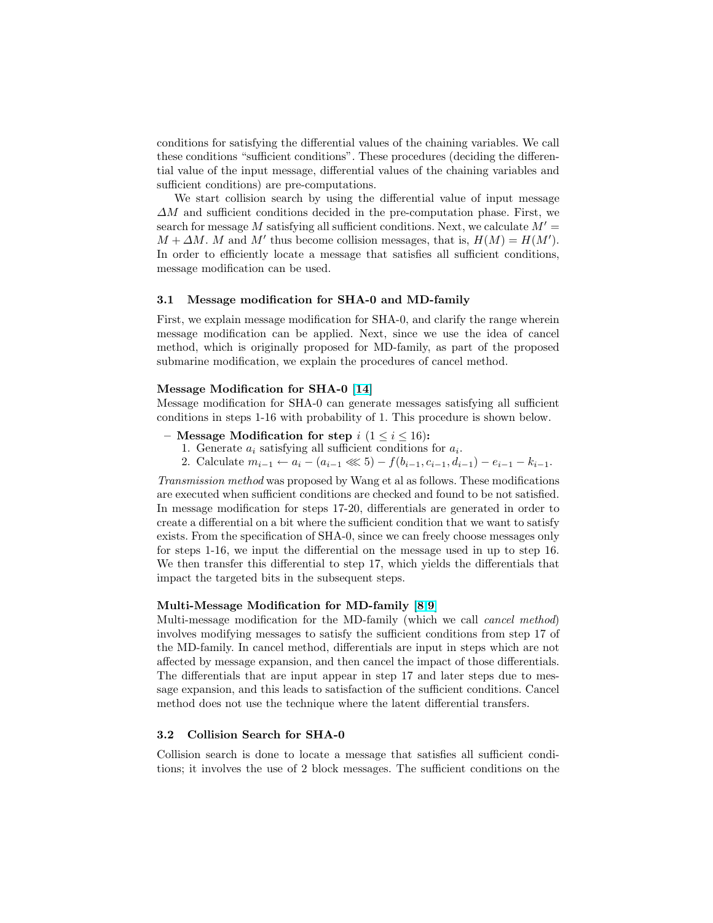conditions for satisfying the differential values of the chaining variables. We call these conditions "sufficient conditions". These procedures (deciding the differential value of the input message, differential values of the chaining variables and sufficient conditions) are pre-computations.

We start collision search by using the differential value of input message  $\Delta M$  and sufficient conditions decided in the pre-computation phase. First, we search for message M satisfying all sufficient conditions. Next, we calculate  $M' =$  $M + \Delta M$ . M and M' thus become collision messages, that is,  $H(M) = H(M')$ . In order to efficiently locate a message that satisfies all sufficient conditions, message modification can be used.

### 3.1 Message modification for SHA-0 and MD-family

First, we explain message modification for SHA-0, and clarify the range wherein message modification can be applied. Next, since we use the idea of cancel method, which is originally proposed for MD-family, as part of the proposed submarine modification, we explain the procedures of cancel method.

#### Message Modification for SHA-0 [\[14\]](#page-14-0)

Message modification for SHA-0 can generate messages satisfying all sufficient conditions in steps 1-16 with probability of 1. This procedure is shown below.

- Message Modification for step  $i$   $(1 \le i \le 16)$ :
	- 1. Generate  $a_i$  satisfying all sufficient conditions for  $a_i$ .
	- 2. Calculate  $m_{i-1} \leftarrow a_i (a_{i-1} \ll 5) f(b_{i-1}, c_{i-1}, d_{i-1}) e_{i-1} k_{i-1}$ .

Transmission method was proposed by Wang et al as follows. These modifications are executed when sufficient conditions are checked and found to be not satisfied. In message modification for steps 17-20, differentials are generated in order to create a differential on a bit where the sufficient condition that we want to satisfy exists. From the specification of SHA-0, since we can freely choose messages only for steps 1-16, we input the differential on the message used in up to step 16. We then transfer this differential to step 17, which yields the differentials that impact the targeted bits in the subsequent steps.

### Multi-Message Modification for MD-family [\[8,9\]](#page-14-0)

Multi-message modification for the MD-family (which we call cancel method) involves modifying messages to satisfy the sufficient conditions from step 17 of the MD-family. In cancel method, differentials are input in steps which are not affected by message expansion, and then cancel the impact of those differentials. The differentials that are input appear in step 17 and later steps due to message expansion, and this leads to satisfaction of the sufficient conditions. Cancel method does not use the technique where the latent differential transfers.

#### 3.2 Collision Search for SHA-0

Collision search is done to locate a message that satisfies all sufficient conditions; it involves the use of 2 block messages. The sufficient conditions on the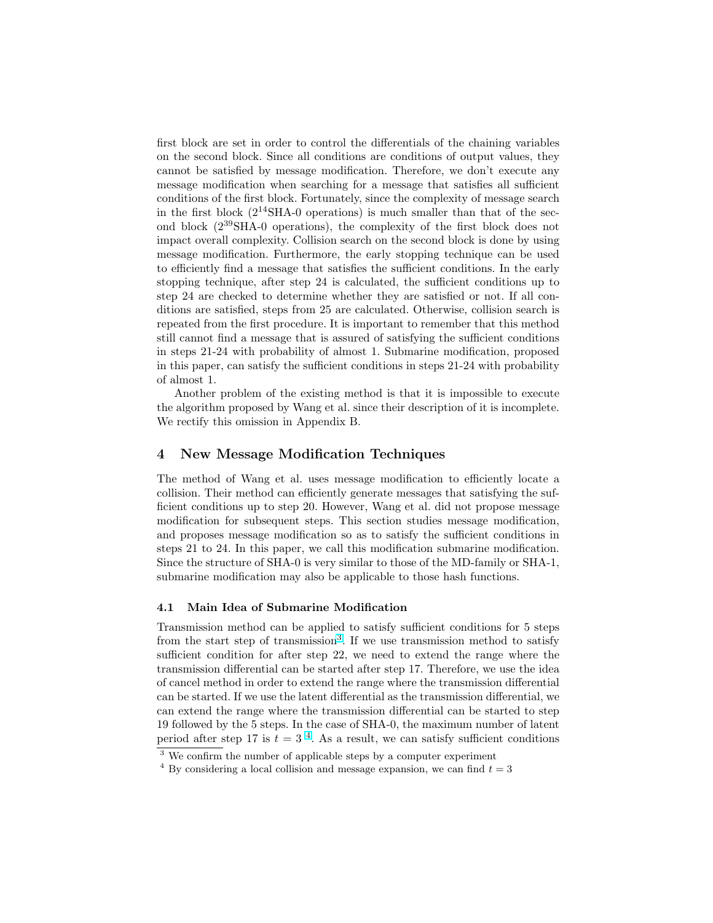first block are set in order to control the differentials of the chaining variables on the second block. Since all conditions are conditions of output values, they cannot be satisfied by message modification. Therefore, we don't execute any message modification when searching for a message that satisfies all sufficient conditions of the first block. Fortunately, since the complexity of message search in the first block  $(2^{14}SHA-0$  operations) is much smaller than that of the second block (2<sup>39</sup>SHA-0 operations), the complexity of the first block does not impact overall complexity. Collision search on the second block is done by using message modification. Furthermore, the early stopping technique can be used to efficiently find a message that satisfies the sufficient conditions. In the early stopping technique, after step 24 is calculated, the sufficient conditions up to step 24 are checked to determine whether they are satisfied or not. If all conditions are satisfied, steps from 25 are calculated. Otherwise, collision search is repeated from the first procedure. It is important to remember that this method still cannot find a message that is assured of satisfying the sufficient conditions in steps 21-24 with probability of almost 1. Submarine modification, proposed in this paper, can satisfy the sufficient conditions in steps 21-24 with probability of almost 1.

Another problem of the existing method is that it is impossible to execute the algorithm proposed by Wang et al. since their description of it is incomplete. We rectify this omission in Appendix B.

## 4 New Message Modification Techniques

The method of Wang et al. uses message modification to efficiently locate a collision. Their method can efficiently generate messages that satisfying the sufficient conditions up to step 20. However, Wang et al. did not propose message modification for subsequent steps. This section studies message modification, and proposes message modification so as to satisfy the sufficient conditions in steps 21 to 24. In this paper, we call this modification submarine modification. Since the structure of SHA-0 is very similar to those of the MD-family or SHA-1, submarine modification may also be applicable to those hash functions.

### 4.1 Main Idea of Submarine Modification

Transmission method can be applied to satisfy sufficient conditions for 5 steps from the start step of transmission<sup>3</sup>. If we use transmission method to satisfy sufficient condition for after step 22, we need to extend the range where the transmission differential can be started after step 17. Therefore, we use the idea of cancel method in order to extend the range where the transmission differential can be started. If we use the latent differential as the transmission differential, we can extend the range where the transmission differential can be started to step 19 followed by the 5 steps. In the case of SHA-0, the maximum number of latent period after step 17 is  $t = 3<sup>4</sup>$ . As a result, we can satisfy sufficient conditions

<sup>&</sup>lt;sup>3</sup> We confirm the number of applicable steps by a computer experiment

<sup>&</sup>lt;sup>4</sup> By considering a local collision and message expansion, we can find  $t = 3$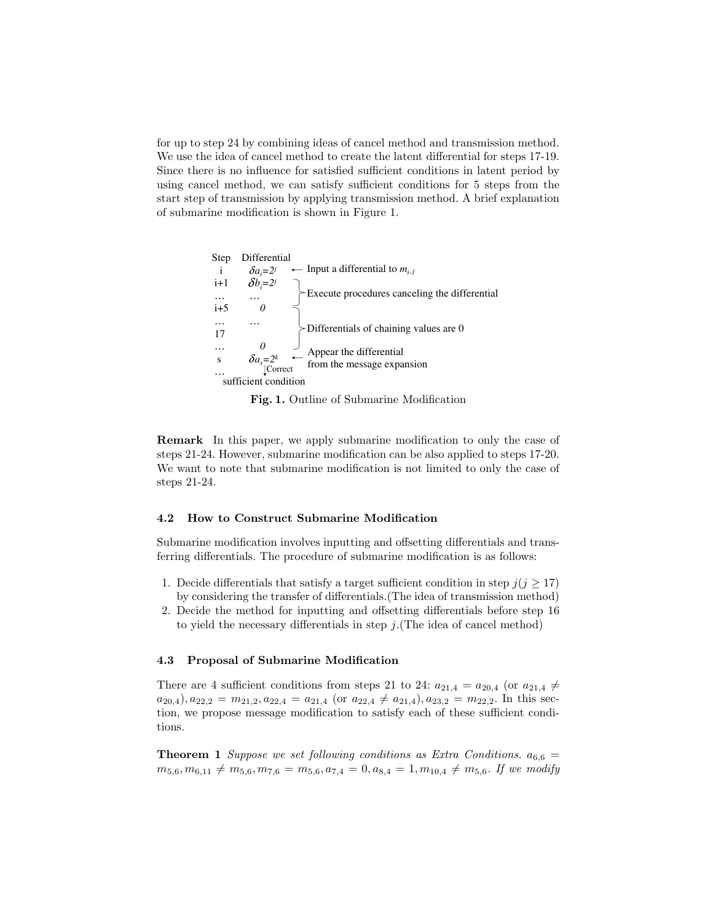for up to step 24 by combining ideas of cancel method and transmission method. We use the idea of cancel method to create the latent differential for steps 17-19. Since there is no influence for satisfied sufficient conditions in latent period by using cancel method, we can satisfy sufficient conditions for 5 steps from the start step of transmission by applying transmission method. A brief explanation of submarine modification is shown in Figure 1.



Fig. 1. Outline of Submarine Modification

Remark In this paper, we apply submarine modification to only the case of steps 21-24. However, submarine modification can be also applied to steps 17-20. We want to note that submarine modification is not limited to only the case of steps 21-24.

### 4.2 How to Construct Submarine Modification

Submarine modification involves inputting and offsetting differentials and transferring differentials. The procedure of submarine modification is as follows:

- 1. Decide differentials that satisfy a target sufficient condition in step  $j(j \geq 17)$ by considering the transfer of differentials.(The idea of transmission method)
- 2. Decide the method for inputting and offsetting differentials before step 16 to yield the necessary differentials in step  $j$ . (The idea of cancel method)

### 4.3 Proposal of Submarine Modification

There are 4 sufficient conditions from steps 21 to 24:  $a_{21,4} = a_{20,4}$  (or  $a_{21,4} \neq a_{22,4}$  $a_{20,4}), a_{22,2} = m_{21,2}, a_{22,4} = a_{21,4}$  (or  $a_{22,4} \neq a_{21,4}$ ),  $a_{23,2} = m_{22,2}$ . In this section, we propose message modification to satisfy each of these sufficient conditions.

**Theorem 1** Suppose we set following conditions as Extra Conditions.  $a_{6,6}$  =  $m_{5,6}, m_{6,11} \neq m_{5,6}, m_{7,6} = m_{5,6}, a_{7,4} = 0, a_{8,4} = 1, m_{10,4} \neq m_{5,6}.$  If we modify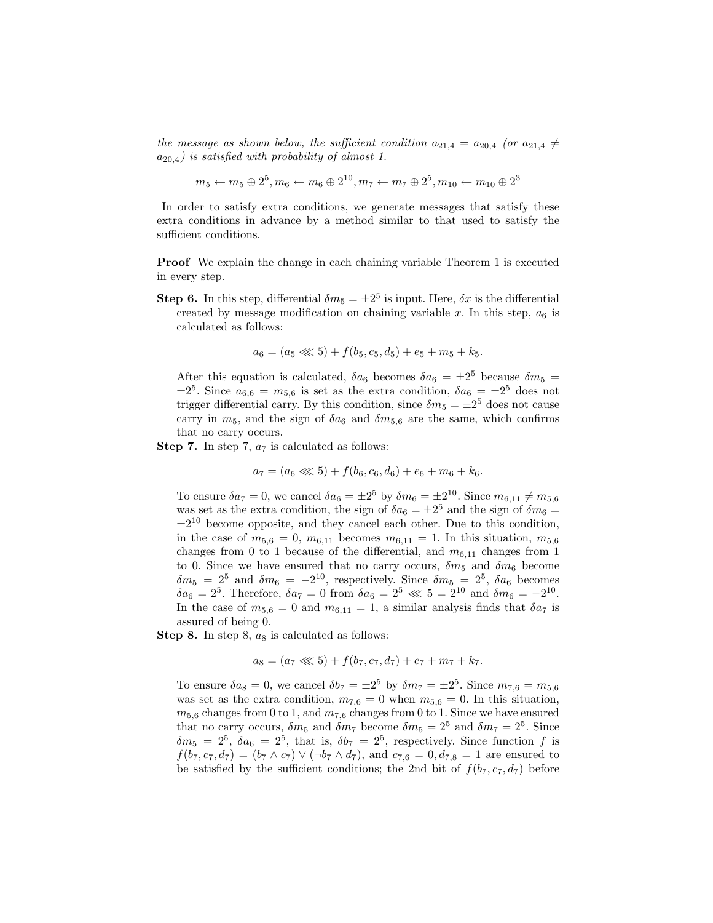the message as shown below, the sufficient condition  $a_{21,4} = a_{20,4}$  (or  $a_{21,4} \neq$  $a_{20,4}$ ) is satisfied with probability of almost 1.

$$
m_5 \leftarrow m_5 \oplus 2^5, m_6 \leftarrow m_6 \oplus 2^{10}, m_7 \leftarrow m_7 \oplus 2^5, m_{10} \leftarrow m_{10} \oplus 2^3
$$

In order to satisfy extra conditions, we generate messages that satisfy these extra conditions in advance by a method similar to that used to satisfy the sufficient conditions.

Proof We explain the change in each chaining variable Theorem 1 is executed in every step.

**Step 6.** In this step, differential  $\delta m_5 = \pm 2^5$  is input. Here,  $\delta x$  is the differential created by message modification on chaining variable x. In this step,  $a_6$  is calculated as follows:

$$
a_6 = (a_5 \lll 5) + f(b_5, c_5, d_5) + e_5 + m_5 + k_5.
$$

After this equation is calculated,  $\delta a_6$  becomes  $\delta a_6 = \pm 2^5$  because  $\delta m_5 =$  $\pm 2^5$ . Since  $a_{6,6} = m_{5,6}$  is set as the extra condition,  $\delta a_6 = \pm 2^5$  does not trigger differential carry. By this condition, since  $\delta m_5 = \pm 2^5$  does not cause carry in  $m_5$ , and the sign of  $\delta a_6$  and  $\delta m_{5,6}$  are the same, which confirms that no carry occurs.

**Step 7.** In step 7,  $a_7$  is calculated as follows:

$$
a_7 = (a_6 \lll 5) + f(b_6, c_6, d_6) + e_6 + m_6 + k_6.
$$

To ensure  $\delta a_7 = 0$ , we cancel  $\delta a_6 = \pm 2^5$  by  $\delta m_6 = \pm 2^{10}$ . Since  $m_{6,11} \neq m_{5,6}$ was set as the extra condition, the sign of  $\delta a_6 = \pm 2^5$  and the sign of  $\delta m_6 =$  $\pm 2^{10}$  become opposite, and they cancel each other. Due to this condition, in the case of  $m_{5,6} = 0$ ,  $m_{6,11}$  becomes  $m_{6,11} = 1$ . In this situation,  $m_{5,6}$ changes from 0 to 1 because of the differential, and  $m_{6,11}$  changes from 1 to 0. Since we have ensured that no carry occurs,  $\delta m_5$  and  $\delta m_6$  become  $\delta m_5 = 2^5$  and  $\delta m_6 = -2^{10}$ , respectively. Since  $\delta m_5 = 2^5$ ,  $\delta a_6$  becomes  $\delta a_6 = 2^5$ . Therefore,  $\delta a_7 = 0$  from  $\delta a_6 = 2^5 \ll 5 = 2^{10}$  and  $\delta m_6 = -2^{10}$ . In the case of  $m_{5,6} = 0$  and  $m_{6,11} = 1$ , a similar analysis finds that  $\delta a_7$  is assured of being 0.

**Step 8.** In step 8,  $a_8$  is calculated as follows:

$$
a_8 = (a_7 \lll 5) + f(b_7, c_7, d_7) + e_7 + m_7 + k_7.
$$

To ensure  $\delta a_8 = 0$ , we cancel  $\delta b_7 = \pm 2^5$  by  $\delta m_7 = \pm 2^5$ . Since  $m_{7,6} = m_{5,6}$ was set as the extra condition,  $m_{7,6} = 0$  when  $m_{5,6} = 0$ . In this situation,  $m_{5,6}$  changes from 0 to 1, and  $m_{7,6}$  changes from 0 to 1. Since we have ensured that no carry occurs,  $\delta m_5$  and  $\delta m_7$  become  $\delta m_5 = 2^5$  and  $\delta m_7 = 2^5$ . Since  $\delta m_5 = 2^5$ ,  $\delta a_6 = 2^5$ , that is,  $\delta b_7 = 2^5$ , respectively. Since function f is  $f(b_7, c_7, d_7) = (b_7 \wedge c_7) \vee (\neg b_7 \wedge d_7)$ , and  $c_{7,6} = 0, d_{7,8} = 1$  are ensured to be satisfied by the sufficient conditions; the 2nd bit of  $f(b_7, c_7, d_7)$  before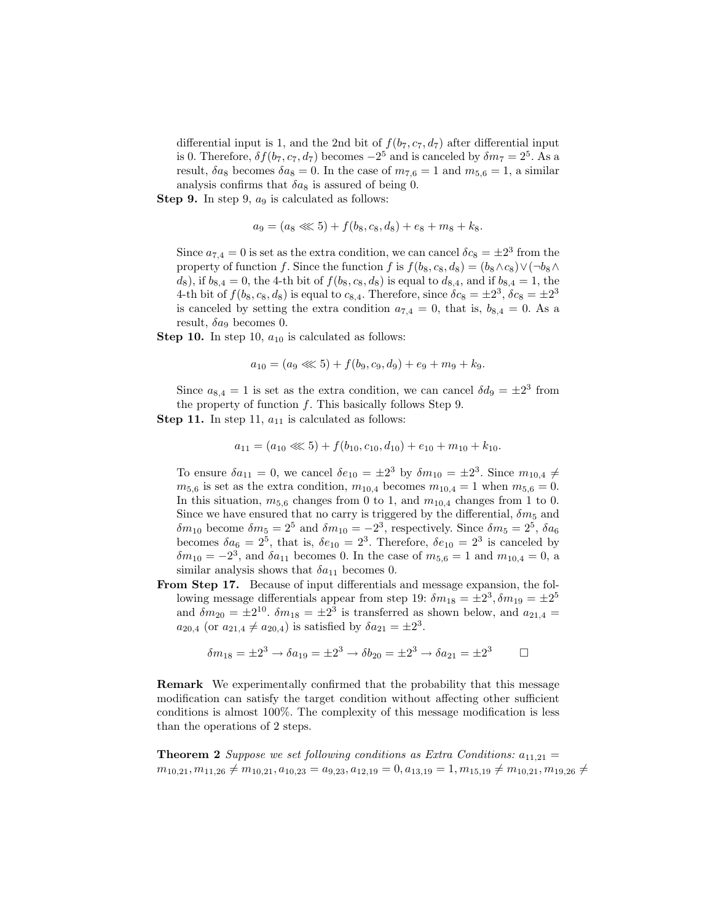differential input is 1, and the 2nd bit of  $f(b_7, c_7, d_7)$  after differential input is 0. Therefore,  $\delta f(b_7, c_7, d_7)$  becomes  $-2^5$  and is canceled by  $\delta m_7 = 2^5$ . As a result,  $\delta a_8$  becomes  $\delta a_8 = 0$ . In the case of  $m_{7,6} = 1$  and  $m_{5,6} = 1$ , a similar analysis confirms that  $\delta a_8$  is assured of being 0.

**Step 9.** In step 9,  $a_9$  is calculated as follows:

$$
a_9 = (a_8 \lll 5) + f(b_8, c_8, d_8) + e_8 + m_8 + k_8.
$$

Since  $a_{7,4} = 0$  is set as the extra condition, we can cancel  $\delta c_8 = \pm 2^3$  from the property of function f. Since the function f is  $f(b_8, c_8, d_8) = (b_8 \wedge c_8) \vee (\neg b_8 \wedge$  $d_8$ , if  $b_{8,4} = 0$ , the 4-th bit of  $f(b_8, c_8, d_8)$  is equal to  $d_{8,4}$ , and if  $b_{8,4} = 1$ , the 4-th bit of  $f(b_8, c_8, d_8)$  is equal to  $c_{8,4}$ . Therefore, since  $\delta c_8 = \pm 2^3$ ,  $\delta c_8 = \pm 2^3$ is canceled by setting the extra condition  $a_{7,4} = 0$ , that is,  $b_{8,4} = 0$ . As a result,  $\delta a_9$  becomes 0.

**Step 10.** In step 10,  $a_{10}$  is calculated as follows:

$$
a_{10} = (a_9 \lll 5) + f(b_9, c_9, d_9) + e_9 + m_9 + k_9.
$$

Since  $a_{8,4} = 1$  is set as the extra condition, we can cancel  $\delta d_9 = \pm 2^3$  from the property of function  $f$ . This basically follows Step 9.

**Step 11.** In step 11,  $a_{11}$  is calculated as follows:

$$
a_{11} = (a_{10} \lll 5) + f(b_{10}, c_{10}, d_{10}) + e_{10} + m_{10} + k_{10}.
$$

To ensure  $\delta a_{11} = 0$ , we cancel  $\delta e_{10} = \pm 2^3$  by  $\delta m_{10} = \pm 2^3$ . Since  $m_{10,4} \neq$  $m_{5,6}$  is set as the extra condition,  $m_{10,4}$  becomes  $m_{10,4} = 1$  when  $m_{5,6} = 0$ . In this situation,  $m_{5,6}$  changes from 0 to 1, and  $m_{10,4}$  changes from 1 to 0. Since we have ensured that no carry is triggered by the differential,  $\delta m_5$  and  $\delta m_{10}$  become  $\delta m_5 = 2^5$  and  $\delta m_{10} = -2^3$ , respectively. Since  $\delta m_5 = 2^5$ ,  $\delta a_6$ becomes  $\delta a_6 = 2^5$ , that is,  $\delta e_{10} = 2^3$ . Therefore,  $\delta e_{10} = 2^3$  is canceled by  $\delta m_{10} = -2^3$ , and  $\delta a_{11}$  becomes 0. In the case of  $m_{5,6} = 1$  and  $m_{10,4} = 0$ , a similar analysis shows that  $\delta a_{11}$  becomes 0.

From Step 17. Because of input differentials and message expansion, the following message differentials appear from step 19:  $\delta m_{18} = \pm 2^3$ ,  $\delta m_{19} = \pm 2^5$ and  $\delta m_{20} = \pm 2^{10}$ .  $\delta m_{18} = \pm 2^3$  is transferred as shown below, and  $a_{21,4} =$  $a_{20,4}$  (or  $a_{21,4} \neq a_{20,4}$ ) is satisfied by  $\delta a_{21} = \pm 2^3$ .

$$
\delta m_{18} = \pm 2^3 \to \delta a_{19} = \pm 2^3 \to \delta b_{20} = \pm 2^3 \to \delta a_{21} = \pm 2^3 \qquad \Box
$$

Remark We experimentally confirmed that the probability that this message modification can satisfy the target condition without affecting other sufficient conditions is almost 100%. The complexity of this message modification is less than the operations of 2 steps.

**Theorem 2** Suppose we set following conditions as Extra Conditions:  $a_{11,21} =$  $m_{10,21}, m_{11,26} \neq m_{10,21}, a_{10,23} = a_{9,23}, a_{12,19} = 0, a_{13,19} = 1, m_{15,19} \neq m_{10,21}, m_{19,26} \neq$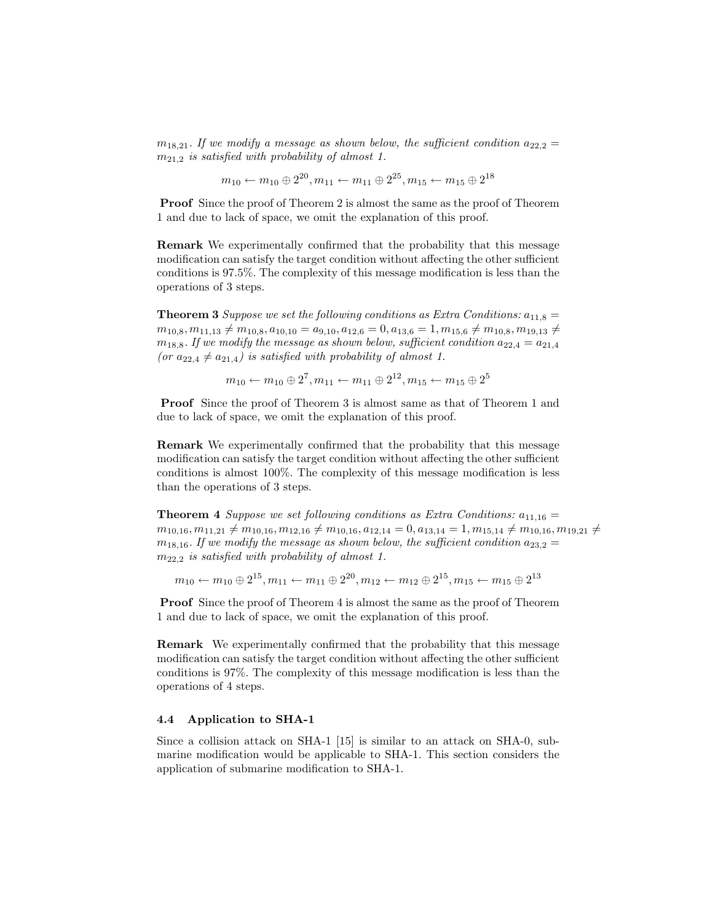$m_{18,21}$ . If we modify a message as shown below, the sufficient condition  $a_{22,2} =$  $m_{21,2}$  is satisfied with probability of almost 1.

$$
m_{10} \leftarrow m_{10} \oplus 2^{20}, m_{11} \leftarrow m_{11} \oplus 2^{25}, m_{15} \leftarrow m_{15} \oplus 2^{18}
$$

Proof Since the proof of Theorem 2 is almost the same as the proof of Theorem 1 and due to lack of space, we omit the explanation of this proof.

Remark We experimentally confirmed that the probability that this message modification can satisfy the target condition without affecting the other sufficient conditions is 97.5%. The complexity of this message modification is less than the operations of 3 steps.

**Theorem 3** Suppose we set the following conditions as Extra Conditions:  $a_{11,8} =$  $m_{10,8}, m_{11,13} \neq m_{10,8}, a_{10,10} = a_{9,10}, a_{12,6} = 0, a_{13,6} = 1, m_{15,6} \neq m_{10,8}, m_{19,13} \neq$  $m_{18,8}$ . If we modify the message as shown below, sufficient condition  $a_{22,4} = a_{21,4}$ (or  $a_{22,4} \neq a_{21,4}$ ) is satisfied with probability of almost 1.

$$
m_{10} \leftarrow m_{10} \oplus 2^7, m_{11} \leftarrow m_{11} \oplus 2^{12}, m_{15} \leftarrow m_{15} \oplus 2^5
$$

Proof Since the proof of Theorem 3 is almost same as that of Theorem 1 and due to lack of space, we omit the explanation of this proof.

Remark We experimentally confirmed that the probability that this message modification can satisfy the target condition without affecting the other sufficient conditions is almost 100%. The complexity of this message modification is less than the operations of 3 steps.

**Theorem 4** Suppose we set following conditions as Extra Conditions:  $a_{11,16} =$  $m_{10,16}, m_{11,21} \neq m_{10,16}, m_{12,16} \neq m_{10,16}, a_{12,14} = 0, a_{13,14} = 1, m_{15,14} \neq m_{10,16}, m_{19,21} \neq$  $m_{18,16}$ . If we modify the message as shown below, the sufficient condition  $a_{23,2} =$  $m_{22,2}$  is satisfied with probability of almost 1.

 $m_{10} \leftarrow m_{10} \oplus 2^{15}, m_{11} \leftarrow m_{11} \oplus 2^{20}, m_{12} \leftarrow m_{12} \oplus 2^{15}, m_{15} \leftarrow m_{15} \oplus 2^{13}$ 

Proof Since the proof of Theorem 4 is almost the same as the proof of Theorem 1 and due to lack of space, we omit the explanation of this proof.

Remark We experimentally confirmed that the probability that this message modification can satisfy the target condition without affecting the other sufficient conditions is 97%. The complexity of this message modification is less than the operations of 4 steps.

### 4.4 Application to SHA-1

Since a collision attack on SHA-1 [15] is similar to an attack on SHA-0, submarine modification would be applicable to SHA-1. This section considers the application of submarine modification to SHA-1.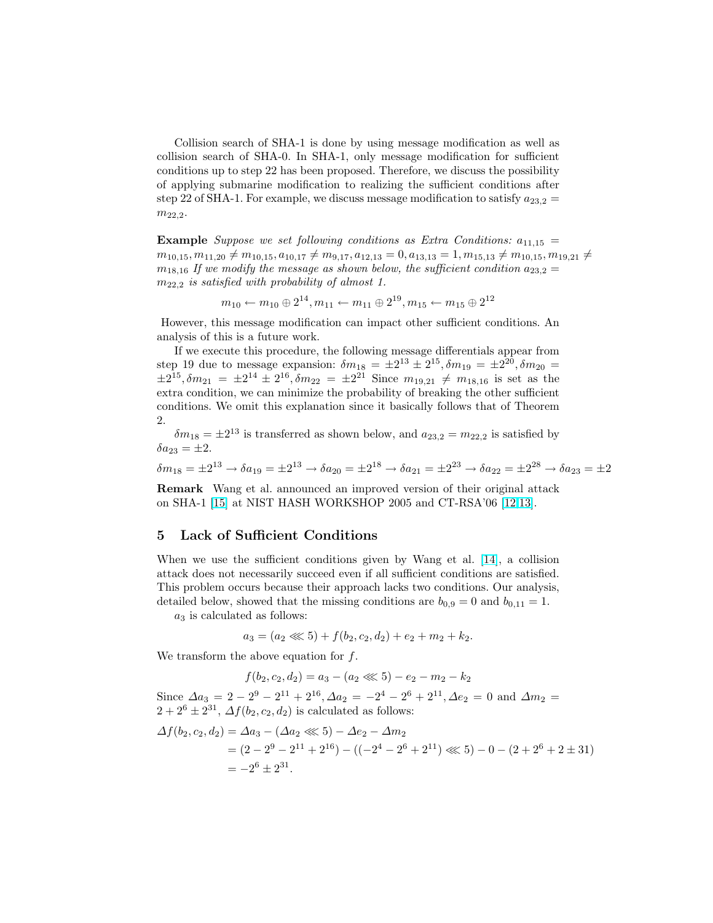Collision search of SHA-1 is done by using message modification as well as collision search of SHA-0. In SHA-1, only message modification for sufficient conditions up to step 22 has been proposed. Therefore, we discuss the possibility of applying submarine modification to realizing the sufficient conditions after step 22 of SHA-1. For example, we discuss message modification to satisfy  $a_{23,2} =$  $m_{22.2}.$ 

**Example** Suppose we set following conditions as Extra Conditions:  $a_{11,15}$  =  $m_{10,15}, m_{11,20} \neq m_{10,15}, a_{10,17} \neq m_{9,17}, a_{12,13} = 0, a_{13,13} = 1, m_{15,13} \neq m_{10,15}, m_{19,21} \neq$  $m_{18,16}$  If we modify the message as shown below, the sufficient condition  $a_{23,2} =$  $m_{22,2}$  is satisfied with probability of almost 1.

$$
m_{10} \leftarrow m_{10} \oplus 2^{14}, m_{11} \leftarrow m_{11} \oplus 2^{19}, m_{15} \leftarrow m_{15} \oplus 2^{12}
$$

However, this message modification can impact other sufficient conditions. An analysis of this is a future work.

If we execute this procedure, the following message differentials appear from step 19 due to message expansion:  $\delta m_{18} = \pm 2^{13} \pm 2^{15}, \delta m_{19} = \pm 2^{20}, \delta m_{20} =$  $\pm 2^{15}, \delta m_{21} = \pm 2^{14} \pm 2^{16}, \delta m_{22} = \pm 2^{21}$  Since  $m_{19,21} \neq m_{18,16}$  is set as the extra condition, we can minimize the probability of breaking the other sufficient conditions. We omit this explanation since it basically follows that of Theorem 2.

 $\delta m_{18} = \pm 2^{13}$  is transferred as shown below, and  $a_{23,2} = m_{22,2}$  is satisfied by  $\delta a_{23} = \pm 2.$ 

$$
\delta m_{18} = \pm 2^{13} \rightarrow \delta a_{19} = \pm 2^{13} \rightarrow \delta a_{20} = \pm 2^{18} \rightarrow \delta a_{21} = \pm 2^{23} \rightarrow \delta a_{22} = \pm 2^{28} \rightarrow \delta a_{23} = \pm 2^{28} \rightarrow \delta a_{23} = \pm 2^{28} \rightarrow \delta a_{23} = \pm 2^{28} \rightarrow \delta a_{23} = \pm 2^{28} \rightarrow \delta a_{23} = \pm 2^{28} \rightarrow \delta a_{23} = \pm 2^{28} \rightarrow \delta a_{23} = \pm 2^{28} \rightarrow \delta a_{23} = \pm 2^{28} \rightarrow \delta a_{23} = \pm 2^{28} \rightarrow \delta a_{23} = \pm 2^{28} \rightarrow \delta a_{23} = \pm 2^{28} \rightarrow \delta a_{23} = \pm 2^{28} \rightarrow \delta a_{23} = \pm 2^{28} \rightarrow \delta a_{23} = \pm 2^{28} \rightarrow \delta a_{23} = \pm 2^{28} \rightarrow \delta a_{23} = \pm 2^{28} \rightarrow \delta a_{23} = \pm 2^{28} \rightarrow \delta a_{23} = \pm 2^{28} \rightarrow \delta a_{23} = \pm 2^{28} \rightarrow \delta a_{23} = \pm 2^{28} \rightarrow \delta a_{23} = \pm 2^{28} \rightarrow \delta a_{23} = \pm 2^{28} \rightarrow \delta a_{23} = \pm 2^{28} \rightarrow \delta a_{23} = \pm 2^{28} \rightarrow \delta a_{23} = \pm 2^{28} \rightarrow \delta a_{23} = \pm 2^{28} \rightarrow \delta a_{23} = \pm 2^{28} \rightarrow \delta a_{23} = \pm 2^{28} \rightarrow \delta a_{23} = \pm 2^{28} \rightarrow \delta a_{23} = \pm 2^{28} \rightarrow \delta a_{23} = \pm 2^{28} \rightarrow \delta a_{23} = \pm 2^{28} \rightarrow \delta a_{23} = \pm 2^{28} \rightarrow \delta a_{23} = \pm 2^{28} \rightarrow \delta a_{23} = \pm 2^{28} \rightarrow \delta a_{23} = \pm 2^{28} \rightarrow \delta a_{23} = \pm 2^{28} \rightarrow \delta a_{
$$

Remark Wang et al. announced an improved version of their original attack on SHA-1 [\[15\]](#page-14-0) at NIST HASH WORKSHOP 2005 and CT-RSA'06 [\[12,13\]](#page-14-0).

## 5 Lack of Sufficient Conditions

When we use the sufficient conditions given by Wang et al. [\[14\]](#page-14-0), a collision attack does not necessarily succeed even if all sufficient conditions are satisfied. This problem occurs because their approach lacks two conditions. Our analysis, detailed below, showed that the missing conditions are  $b_{0,9} = 0$  and  $b_{0,11} = 1$ .

 $a_3$  is calculated as follows:

$$
a_3 = (a_2 \lll 5) + f(b_2, c_2, d_2) + e_2 + m_2 + k_2.
$$

We transform the above equation for  $f$ .

$$
f(b_2, c_2, d_2) = a_3 - (a_2 \lll 5) - e_2 - m_2 - k_2
$$

Since  $\Delta a_3 = 2 - 2^9 - 2^{11} + 2^{16}$ ,  $\Delta a_2 = -2^4 - 2^6 + 2^{11}$ ,  $\Delta e_2 = 0$  and  $\Delta m_2 =$  $2+2^6\pm 2^{31}$ ,  $\Delta f(b_2, c_2, d_2)$  is calculated as follows:

$$
\Delta f(b_2, c_2, d_2) = \Delta a_3 - (\Delta a_2 \ll 5) - \Delta e_2 - \Delta m_2
$$
  
=  $(2 - 2^9 - 2^{11} + 2^{16}) - ((-2^4 - 2^6 + 2^{11}) \ll 5) - 0 - (2 + 2^6 + 2 \pm 31)$   
=  $-2^6 \pm 2^{31}$ .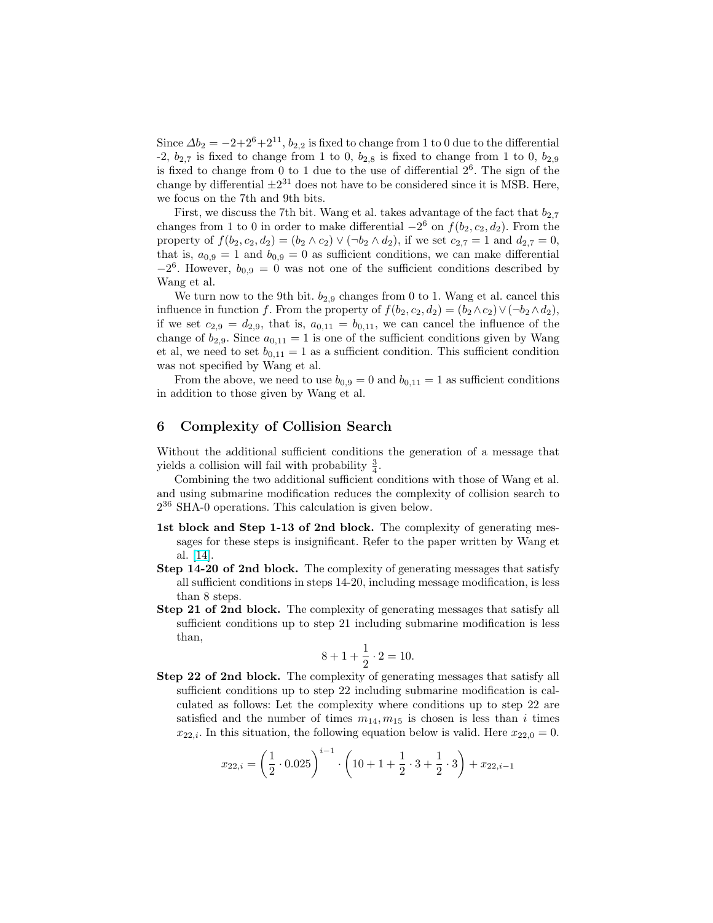Since  $\Delta b_2 = -2+2^6+2^{11}$ ,  $b_{2,2}$  is fixed to change from 1 to 0 due to the differential -2,  $b_{2,7}$  is fixed to change from 1 to 0,  $b_{2,8}$  is fixed to change from 1 to 0,  $b_{2,9}$ is fixed to change from  $0$  to 1 due to the use of differential  $2<sup>6</sup>$ . The sign of the change by differential  $\pm 2^{31}$  does not have to be considered since it is MSB. Here, we focus on the 7th and 9th bits.

First, we discuss the 7th bit. Wang et al. takes advantage of the fact that  $b_{2,7}$ changes from 1 to 0 in order to make differential  $-2^6$  on  $f(b_2, c_2, d_2)$ . From the property of  $f(b_2, c_2, d_2) = (b_2 \wedge c_2) \vee (\neg b_2 \wedge d_2)$ , if we set  $c_{2,7} = 1$  and  $d_{2,7} = 0$ , that is,  $a_{0,9} = 1$  and  $b_{0,9} = 0$  as sufficient conditions, we can make differential  $-2^6$ . However,  $b_{0,9} = 0$  was not one of the sufficient conditions described by Wang et al.

We turn now to the 9th bit.  $b_{2,9}$  changes from 0 to 1. Wang et al. cancel this influence in function f. From the property of  $f(b_2, c_2, d_2) = (b_2 \wedge c_2) \vee (\neg b_2 \wedge d_2),$ if we set  $c_{2,9} = d_{2,9}$ , that is,  $a_{0,11} = b_{0,11}$ , we can cancel the influence of the change of  $b_{2,9}$ . Since  $a_{0,11} = 1$  is one of the sufficient conditions given by Wang et al, we need to set  $b_{0,11} = 1$  as a sufficient condition. This sufficient condition was not specified by Wang et al.

From the above, we need to use  $b_{0,9} = 0$  and  $b_{0,11} = 1$  as sufficient conditions in addition to those given by Wang et al.

## 6 Complexity of Collision Search

Without the additional sufficient conditions the generation of a message that yields a collision will fail with probability  $\frac{3}{4}$ .

Combining the two additional sufficient conditions with those of Wang et al. and using submarine modification reduces the complexity of collision search to  $2^{36}$  SHA-0 operations. This calculation is given below.

- 1st block and Step 1-13 of 2nd block. The complexity of generating messages for these steps is insignificant. Refer to the paper written by Wang et al. [\[14\]](#page-14-0).
- Step 14-20 of 2nd block. The complexity of generating messages that satisfy all sufficient conditions in steps 14-20, including message modification, is less than 8 steps.
- Step 21 of 2nd block. The complexity of generating messages that satisfy all sufficient conditions up to step 21 including submarine modification is less than,

$$
8 + 1 + \frac{1}{2} \cdot 2 = 10.
$$

Step 22 of 2nd block. The complexity of generating messages that satisfy all sufficient conditions up to step 22 including submarine modification is calculated as follows: Let the complexity where conditions up to step 22 are satisfied and the number of times  $m_{14}, m_{15}$  is chosen is less than i times  $x_{22,i}$ . In this situation, the following equation below is valid. Here  $x_{22,0} = 0$ .

$$
x_{22,i} = \left(\frac{1}{2} \cdot 0.025\right)^{i-1} \cdot \left(10 + 1 + \frac{1}{2} \cdot 3 + \frac{1}{2} \cdot 3\right) + x_{22,i-1}
$$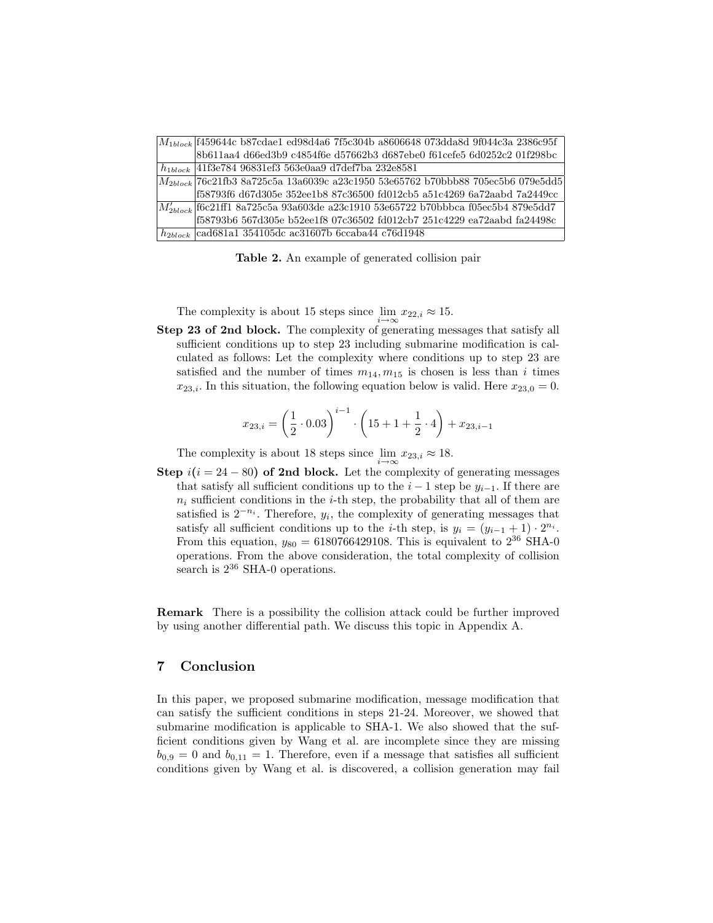| $M_{1block}$ (1459644c b87cdae1 ed98d4a6 7f5c304b a8606648 073dda8d 9f044c3a 2386c95f  |
|----------------------------------------------------------------------------------------|
| 8b611aa4 d66ed3b9 c4854f6e d57662b3 d687ebe0 f61cefe5 6d0252c2 01f298bc                |
| $h_{1block}$  41f3e784 96831ef3 563e0aa9 d7def7ba 232e8581                             |
| $ M_{2block} 76c21f$ b3 8a725c5a 13a6039c a23c1950 53e65762 b70bbb88 705ec5b6 079e5dd5 |
| f58793f6 d67d305e 352ee1b8 87c36500 fd012cb5 a51c4269 6a72aabd 7a2449cc                |
| $M'_{2block}$ f6c21ff1 8a725c5a 93a603de a23c1910 53e65722 b70bbbca f05ec5b4 879e5dd7  |
| f58793b6 567d305e b52ee1f8 07c36502 fd012cb7 251c4229 ea72aabd fa24498c                |
| $h_{2block}$   cad681a1 354105dc ac31607b 6ccaba44 c76d1948                            |

Table 2. An example of generated collision pair

The complexity is about 15 steps since  $\lim_{i \to \infty} x_{22,i} \approx 15$ .

Step 23 of 2nd block. The complexity of generating messages that satisfy all sufficient conditions up to step 23 including submarine modification is calculated as follows: Let the complexity where conditions up to step 23 are satisfied and the number of times  $m_{14}, m_{15}$  is chosen is less than i times  $x_{23,i}$ . In this situation, the following equation below is valid. Here  $x_{23,0} = 0$ .

$$
x_{23,i} = \left(\frac{1}{2} \cdot 0.03\right)^{i-1} \cdot \left(15 + 1 + \frac{1}{2} \cdot 4\right) + x_{23,i-1}
$$

The complexity is about 18 steps since  $\lim_{i \to \infty} x_{23,i} \approx 18$ .

Step  $i(i = 24 - 80)$  of 2nd block. Let the complexity of generating messages that satisfy all sufficient conditions up to the  $i-1$  step be  $y_{i-1}$ . If there are  $n_i$  sufficient conditions in the *i*-th step, the probability that all of them are satisfied is  $2^{-n_i}$ . Therefore,  $y_i$ , the complexity of generating messages that satisfy all sufficient conditions up to the *i*-th step, is  $y_i = (y_{i-1} + 1) \cdot 2^{n_i}$ . From this equation,  $y_{80} = 6180766429108$ . This is equivalent to  $2^{36}$  SHA-0 operations. From the above consideration, the total complexity of collision search is  $2^{36}$  SHA-0 operations.

Remark There is a possibility the collision attack could be further improved by using another differential path. We discuss this topic in Appendix A.

# 7 Conclusion

In this paper, we proposed submarine modification, message modification that can satisfy the sufficient conditions in steps 21-24. Moreover, we showed that submarine modification is applicable to SHA-1. We also showed that the sufficient conditions given by Wang et al. are incomplete since they are missing  $b_{0,9} = 0$  and  $b_{0,11} = 1$ . Therefore, even if a message that satisfies all sufficient conditions given by Wang et al. is discovered, a collision generation may fail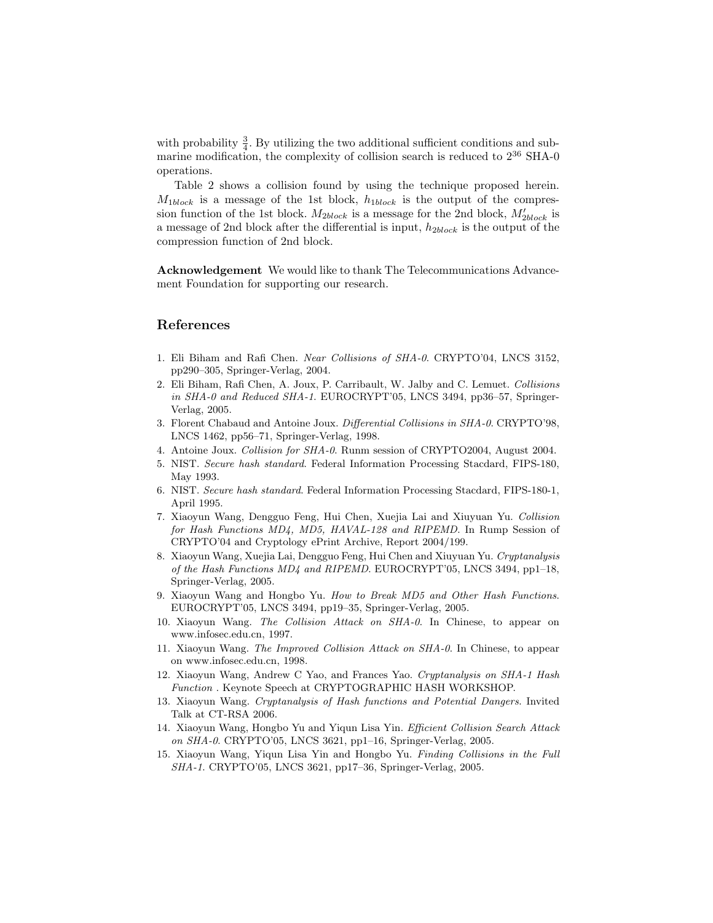<span id="page-14-0"></span>with probability  $\frac{3}{4}$ . By utilizing the two additional sufficient conditions and submarine modification, the complexity of collision search is reduced to 2<sup>36</sup> SHA-0 operations.

Table 2 shows a collision found by using the technique proposed herein.  $M_{1block}$  is a message of the 1st block,  $h_{1block}$  is the output of the compression function of the 1st block.  $M_{2block}$  is a message for the 2nd block,  $M_{2block}'$  is a message of 2nd block after the differential is input,  $h_{2block}$  is the output of the compression function of 2nd block.

Acknowledgement We would like to thank The Telecommunications Advancement Foundation for supporting our research.

## References

- 1. Eli Biham and Rafi Chen. Near Collisions of SHA-0. CRYPTO'04, LNCS 3152, pp290–305, Springer-Verlag, 2004.
- 2. Eli Biham, Rafi Chen, A. Joux, P. Carribault, W. Jalby and C. Lemuet. Collisions in SHA-0 and Reduced SHA-1. EUROCRYPT'05, LNCS 3494, pp36–57, Springer-Verlag, 2005.
- 3. Florent Chabaud and Antoine Joux. Differential Collisions in SHA-0. CRYPTO'98, LNCS 1462, pp56–71, Springer-Verlag, 1998.
- 4. Antoine Joux. Collision for SHA-0. Runm session of CRYPTO2004, August 2004.
- 5. NIST. Secure hash standard. Federal Information Processing Stacdard, FIPS-180, May 1993.
- 6. NIST. Secure hash standard. Federal Information Processing Stacdard, FIPS-180-1, April 1995.
- 7. Xiaoyun Wang, Dengguo Feng, Hui Chen, Xuejia Lai and Xiuyuan Yu. Collision for Hash Functions MD4, MD5, HAVAL-128 and RIPEMD. In Rump Session of CRYPTO'04 and Cryptology ePrint Archive, Report 2004/199.
- 8. Xiaoyun Wang, Xuejia Lai, Dengguo Feng, Hui Chen and Xiuyuan Yu. Cryptanalysis of the Hash Functions MD4 and RIPEMD. EUROCRYPT'05, LNCS 3494, pp1–18, Springer-Verlag, 2005.
- 9. Xiaoyun Wang and Hongbo Yu. How to Break MD5 and Other Hash Functions. EUROCRYPT'05, LNCS 3494, pp19–35, Springer-Verlag, 2005.
- 10. Xiaoyun Wang. The Collision Attack on SHA-0. In Chinese, to appear on www.infosec.edu.cn, 1997.
- 11. Xiaoyun Wang. The Improved Collision Attack on SHA-0. In Chinese, to appear on www.infosec.edu.cn, 1998.
- 12. Xiaoyun Wang, Andrew C Yao, and Frances Yao. Cryptanalysis on SHA-1 Hash Function . Keynote Speech at CRYPTOGRAPHIC HASH WORKSHOP.
- 13. Xiaoyun Wang. Cryptanalysis of Hash functions and Potential Dangers. Invited Talk at CT-RSA 2006.
- 14. Xiaoyun Wang, Hongbo Yu and Yiqun Lisa Yin. Efficient Collision Search Attack on SHA-0. CRYPTO'05, LNCS 3621, pp1–16, Springer-Verlag, 2005.
- 15. Xiaoyun Wang, Yiqun Lisa Yin and Hongbo Yu. Finding Collisions in the Full SHA-1. CRYPTO'05, LNCS 3621, pp17–36, Springer-Verlag, 2005.